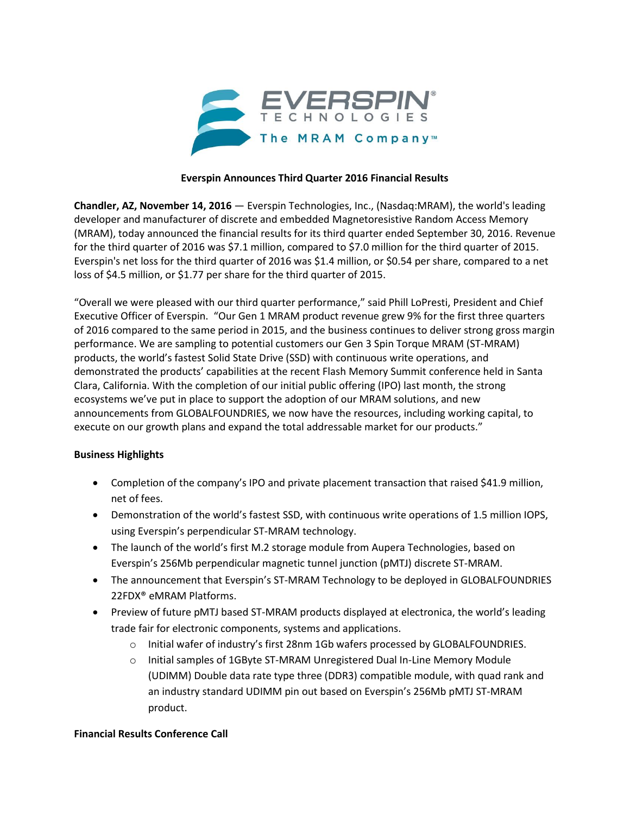

### **Everspin Announces Third Quarter 2016 Financial Results**

**Chandler, AZ, November 14, 2016** — Everspin Technologies, Inc., (Nasdaq:MRAM), the world's leading developer and manufacturer of discrete and embedded Magnetoresistive Random Access Memory (MRAM), today announced the financial results for its third quarter ended September 30, 2016. Revenue for the third quarter of 2016 was \$7.1 million, compared to \$7.0 million for the third quarter of 2015. Everspin's net loss for the third quarter of 2016 was \$1.4 million, or \$0.54 per share, compared to a net loss of \$4.5 million, or \$1.77 per share for the third quarter of 2015.

"Overall we were pleased with our third quarter performance," said Phill LoPresti, President and Chief Executive Officer of Everspin. "Our Gen 1 MRAM product revenue grew 9% for the first three quarters of 2016 compared to the same period in 2015, and the business continues to deliver strong gross margin performance. We are sampling to potential customers our Gen 3 Spin Torque MRAM (ST-MRAM) products, the world's fastest Solid State Drive (SSD) with continuous write operations, and demonstrated the products' capabilities at the recent Flash Memory Summit conference held in Santa Clara, California. With the completion of our initial public offering (IPO) last month, the strong ecosystems we've put in place to support the adoption of our MRAM solutions, and new announcements from GLOBALFOUNDRIES, we now have the resources, including working capital, to execute on our growth plans and expand the total addressable market for our products."

### **Business Highlights**

- Completion of the company's IPO and private placement transaction that raised \$41.9 million, net of fees.
- Demonstration of the world's fastest SSD, with continuous write operations of 1.5 million IOPS, using Everspin's perpendicular ST-MRAM technology.
- The launch of the world's first M.2 storage module from Aupera Technologies, based on Everspin's 256Mb perpendicular magnetic tunnel junction (pMTJ) discrete ST-MRAM.
- The announcement that Everspin's ST-MRAM Technology to be deployed in GLOBALFOUNDRIES 22FDX® eMRAM Platforms.
- Preview of future pMTJ based ST-MRAM products displayed at electronica, the world's leading trade fair for electronic components, systems and applications.
	- o Initial wafer of industry's first 28nm 1Gb wafers processed by GLOBALFOUNDRIES.
	- o Initial samples of 1GByte ST-MRAM Unregistered Dual In-Line Memory Module (UDIMM) Double data rate type three (DDR3) compatible module, with quad rank and an industry standard UDIMM pin out based on Everspin's 256Mb pMTJ ST-MRAM product.

### **Financial Results Conference Call**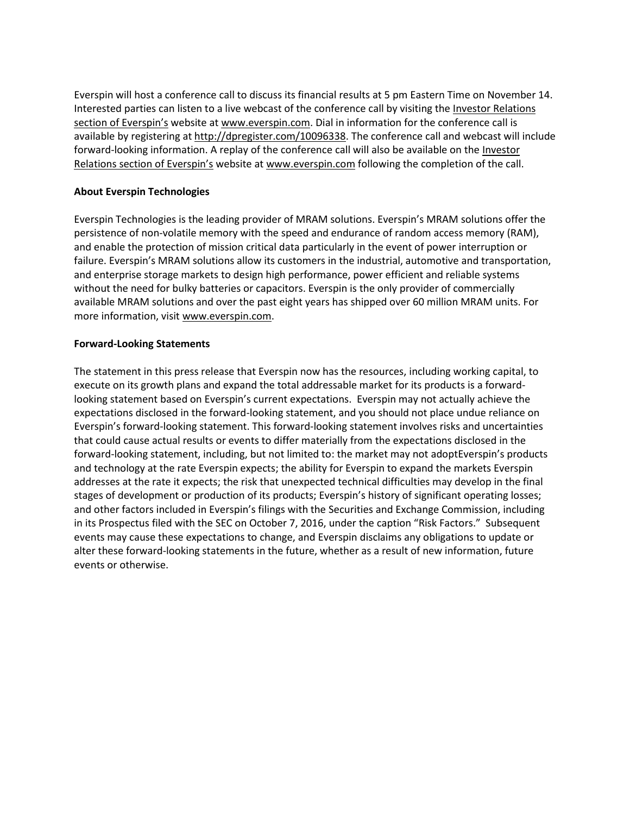Everspin will host a conference call to discuss its financial results at 5 pm Eastern Time on November 14. Interested parties can listen to a live webcast of the conference call by visiting the [Investor Relations](http://cts.businesswire.com/ct/CT?id=smartlink&url=http%3A%2F%2Fphx.corporate-ir.net%2Fphoenix.zhtml%3Fc%3D254442%26p%3Dirol-irhome&esheet=51453648&newsitemid=20161103006477&lan=en-US&anchor=Investor+Relations+section+of+Everspin%27s&index=1&md5=28d0c44bc000860adcc848427b540806)  [section of Everspin's](http://cts.businesswire.com/ct/CT?id=smartlink&url=http%3A%2F%2Fphx.corporate-ir.net%2Fphoenix.zhtml%3Fc%3D254442%26p%3Dirol-irhome&esheet=51453648&newsitemid=20161103006477&lan=en-US&anchor=Investor+Relations+section+of+Everspin%27s&index=1&md5=28d0c44bc000860adcc848427b540806) website at [www.everspin.com.](http://cts.businesswire.com/ct/CT?id=smartlink&url=http%3A%2F%2Fwww.everspin.com&esheet=51453648&newsitemid=20161103006477&lan=en-US&anchor=www.everspin.com&index=2&md5=0e3b1833673db3b0c2131d2ba959fbf2) Dial in information for the conference call is available by registering at [http://dpregister.com/10096338.](http://cts.businesswire.com/ct/CT?id=smartlink&url=http%3A%2F%2Fdpregister.com%2F10096338&esheet=51453648&newsitemid=20161103006477&lan=en-US&anchor=http%3A%2F%2Fdpregister.com%2F10096338&index=3&md5=442652826c9a21b5ef4d0048e8ffbb0d) The conference call and webcast will include forward-looking information. A replay of the conference call will also be available on the [Investor](http://cts.businesswire.com/ct/CT?id=smartlink&url=http%3A%2F%2Fphx.corporate-ir.net%2Fphoenix.zhtml%3Fc%3D254442%26p%3Dirol-irhome&esheet=51453648&newsitemid=20161103006477&lan=en-US&anchor=Investor+Relations+section+of+Everspin%27s&index=4&md5=71c15092c4006099255a8aca22747627)  [Relations section of Everspin's](http://cts.businesswire.com/ct/CT?id=smartlink&url=http%3A%2F%2Fphx.corporate-ir.net%2Fphoenix.zhtml%3Fc%3D254442%26p%3Dirol-irhome&esheet=51453648&newsitemid=20161103006477&lan=en-US&anchor=Investor+Relations+section+of+Everspin%27s&index=4&md5=71c15092c4006099255a8aca22747627) website at [www.everspin.com](http://cts.businesswire.com/ct/CT?id=smartlink&url=http%3A%2F%2Fwww.everspin.com&esheet=51453648&newsitemid=20161103006477&lan=en-US&anchor=www.everspin.com&index=5&md5=a931e502c3db060aef4f38aab6f19cda) following the completion of the call.

### **About Everspin Technologies**

Everspin Technologies is the leading provider of MRAM solutions. Everspin's MRAM solutions offer the persistence of non-volatile memory with the speed and endurance of random access memory (RAM), and enable the protection of mission critical data particularly in the event of power interruption or failure. Everspin's MRAM solutions allow its customers in the industrial, automotive and transportation, and enterprise storage markets to design high performance, power efficient and reliable systems without the need for bulky batteries or capacitors. Everspin is the only provider of commercially available MRAM solutions and over the past eight years has shipped over 60 million MRAM units. For more information, visit [www.everspin.com.](http://www.everspin.com/)

### **Forward-Looking Statements**

The statement in this press release that Everspin now has the resources, including working capital, to execute on its growth plans and expand the total addressable market for its products is a forwardlooking statement based on Everspin's current expectations. Everspin may not actually achieve the expectations disclosed in the forward-looking statement, and you should not place undue reliance on Everspin's forward-looking statement. This forward-looking statement involves risks and uncertainties that could cause actual results or events to differ materially from the expectations disclosed in the forward-looking statement, including, but not limited to: the market may not adoptEverspin's products and technology at the rate Everspin expects; the ability for Everspin to expand the markets Everspin addresses at the rate it expects; the risk that unexpected technical difficulties may develop in the final stages of development or production of its products; Everspin's history of significant operating losses; and other factors included in Everspin's filings with the Securities and Exchange Commission, including in its Prospectus filed with the SEC on October 7, 2016, under the caption "Risk Factors." Subsequent events may cause these expectations to change, and Everspin disclaims any obligations to update or alter these forward-looking statements in the future, whether as a result of new information, future events or otherwise.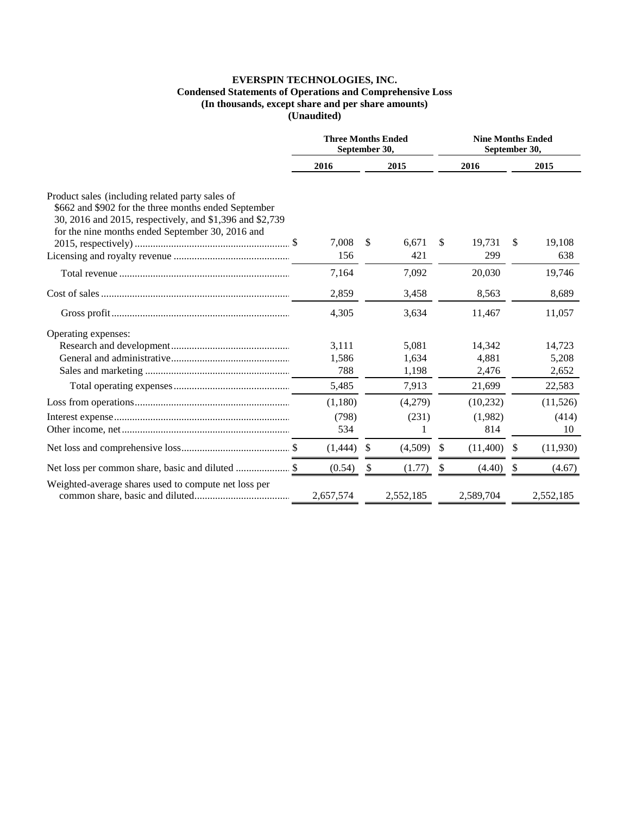## EVERSPIN TECHNOLOGIES, INC.

# Condensed Statements of Operations and Comprehensive Loss<br>(In thousands, except share and per share amounts)<br>(Unaudited)

|                                                                                                                                                                                                                         | <b>Three Months Ended</b><br>September 30, |    |              | <b>Nine Months Ended</b><br>September 30, |               |     |               |
|-------------------------------------------------------------------------------------------------------------------------------------------------------------------------------------------------------------------------|--------------------------------------------|----|--------------|-------------------------------------------|---------------|-----|---------------|
|                                                                                                                                                                                                                         | 2016                                       |    | 2015         |                                           | 2016          |     | 2015          |
| Product sales (including related party sales of<br>\$662 and \$902 for the three months ended September<br>30, 2016 and 2015, respectively, and \$1,396 and \$2,739<br>for the nine months ended September 30, 2016 and | 7,008<br>156                               | \$ | 6,671<br>421 | \$                                        | 19,731<br>299 | \$  | 19,108<br>638 |
|                                                                                                                                                                                                                         |                                            |    |              |                                           |               |     |               |
|                                                                                                                                                                                                                         | 7,164                                      |    | 7,092        |                                           | 20,030        |     | 19,746        |
|                                                                                                                                                                                                                         | 2,859                                      |    | 3,458        |                                           | 8,563         |     | 8.689         |
|                                                                                                                                                                                                                         | 4,305                                      |    | 3,634        |                                           | 11,467        |     | 11,057        |
| Operating expenses:                                                                                                                                                                                                     |                                            |    |              |                                           |               |     |               |
|                                                                                                                                                                                                                         | 3,111                                      |    | 5,081        |                                           | 14,342        |     | 14,723        |
|                                                                                                                                                                                                                         | 1,586                                      |    | 1,634        |                                           | 4,881         |     | 5,208         |
|                                                                                                                                                                                                                         | 788                                        |    | 1,198        |                                           | 2,476         |     | 2,652         |
|                                                                                                                                                                                                                         | 5,485                                      |    | 7,913        |                                           | 21,699        |     | 22,583        |
|                                                                                                                                                                                                                         | (1,180)                                    |    | (4,279)      |                                           | (10,232)      |     | (11,526)      |
|                                                                                                                                                                                                                         | (798)                                      |    | (231)        |                                           | (1,982)       |     | (414)         |
|                                                                                                                                                                                                                         | 534                                        |    |              |                                           | 814           |     | 10            |
|                                                                                                                                                                                                                         | (1,444)                                    | -S | (4,509)      | <sup>\$</sup>                             | (11,400)      | -\$ | (11,930)      |
|                                                                                                                                                                                                                         | (0.54)                                     | S  | (1.77)       | \$                                        | (4.40)        | -S  | (4.67)        |
| Weighted-average shares used to compute net loss per                                                                                                                                                                    | 2,657,574                                  |    | 2,552,185    |                                           | 2,589,704     |     | 2,552,185     |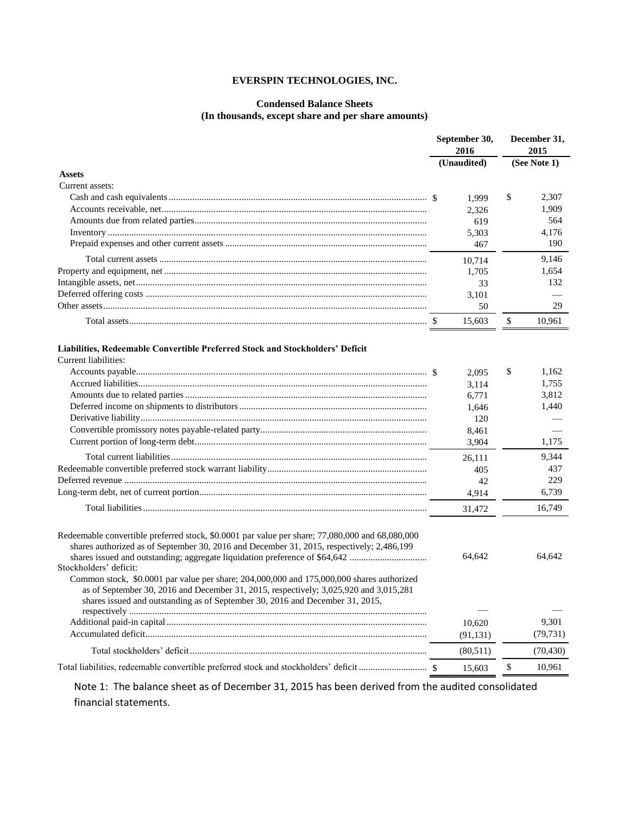### **EVERSPIN TECHNOLOGIES, INC.**

### **Condensed Balance Sheets (In thousands, except share and per share amounts)**

| <b>Assets</b><br>Current assets:                                                                                                                                                                                                                                                                                                                                                                                                                                                                                                                                             | (Unaudited)             | (See Note 1)                  |
|------------------------------------------------------------------------------------------------------------------------------------------------------------------------------------------------------------------------------------------------------------------------------------------------------------------------------------------------------------------------------------------------------------------------------------------------------------------------------------------------------------------------------------------------------------------------------|-------------------------|-------------------------------|
|                                                                                                                                                                                                                                                                                                                                                                                                                                                                                                                                                                              |                         |                               |
|                                                                                                                                                                                                                                                                                                                                                                                                                                                                                                                                                                              |                         |                               |
|                                                                                                                                                                                                                                                                                                                                                                                                                                                                                                                                                                              |                         |                               |
|                                                                                                                                                                                                                                                                                                                                                                                                                                                                                                                                                                              | 1,999                   | \$<br>2.307                   |
|                                                                                                                                                                                                                                                                                                                                                                                                                                                                                                                                                                              | 2,326                   | 1,909                         |
|                                                                                                                                                                                                                                                                                                                                                                                                                                                                                                                                                                              | 619                     | 564                           |
|                                                                                                                                                                                                                                                                                                                                                                                                                                                                                                                                                                              | 5,303                   | 4,176                         |
|                                                                                                                                                                                                                                                                                                                                                                                                                                                                                                                                                                              | 467                     | 190                           |
|                                                                                                                                                                                                                                                                                                                                                                                                                                                                                                                                                                              | 10,714                  | 9,146                         |
|                                                                                                                                                                                                                                                                                                                                                                                                                                                                                                                                                                              | 1,705                   | 1,654                         |
|                                                                                                                                                                                                                                                                                                                                                                                                                                                                                                                                                                              | 33                      | 132                           |
|                                                                                                                                                                                                                                                                                                                                                                                                                                                                                                                                                                              | 3,101                   |                               |
|                                                                                                                                                                                                                                                                                                                                                                                                                                                                                                                                                                              | 50                      | 29                            |
|                                                                                                                                                                                                                                                                                                                                                                                                                                                                                                                                                                              | 15,603                  | \$<br>10,961                  |
| Liabilities, Redeemable Convertible Preferred Stock and Stockholders' Deficit<br>Current liabilities:                                                                                                                                                                                                                                                                                                                                                                                                                                                                        | 2,095<br>3,114<br>6,771 | \$<br>1.162<br>1,755<br>3,812 |
|                                                                                                                                                                                                                                                                                                                                                                                                                                                                                                                                                                              | 1,646                   | 1,440                         |
|                                                                                                                                                                                                                                                                                                                                                                                                                                                                                                                                                                              | 120                     |                               |
|                                                                                                                                                                                                                                                                                                                                                                                                                                                                                                                                                                              | 8,461                   |                               |
|                                                                                                                                                                                                                                                                                                                                                                                                                                                                                                                                                                              | 3,904                   | 1,175                         |
|                                                                                                                                                                                                                                                                                                                                                                                                                                                                                                                                                                              | 26,111                  | 9,344                         |
|                                                                                                                                                                                                                                                                                                                                                                                                                                                                                                                                                                              | 405                     | 437                           |
|                                                                                                                                                                                                                                                                                                                                                                                                                                                                                                                                                                              | 42                      | 229                           |
|                                                                                                                                                                                                                                                                                                                                                                                                                                                                                                                                                                              | 4,914                   | 6,739                         |
|                                                                                                                                                                                                                                                                                                                                                                                                                                                                                                                                                                              | 31,472                  | 16,749                        |
| Redeemable convertible preferred stock, \$0.0001 par value per share; 77,080,000 and 68,080,000<br>shares authorized as of September 30, 2016 and December 31, 2015, respectively; 2,486,199<br>shares issued and outstanding; aggregate liquidation preference of \$64,642<br>Stockholders' deficit:<br>Common stock, \$0.0001 par value per share; 204,000,000 and 175,000,000 shares authorized<br>as of September 30, 2016 and December 31, 2015, respectively; 3,025,920 and 3,015,281<br>shares issued and outstanding as of September 30, 2016 and December 31, 2015, | 64,642                  | 64.642                        |
|                                                                                                                                                                                                                                                                                                                                                                                                                                                                                                                                                                              | 10,620                  | 9,301                         |
|                                                                                                                                                                                                                                                                                                                                                                                                                                                                                                                                                                              | (91, 131)               | (79, 731)                     |
|                                                                                                                                                                                                                                                                                                                                                                                                                                                                                                                                                                              | (80,511)                | (70, 430)                     |
|                                                                                                                                                                                                                                                                                                                                                                                                                                                                                                                                                                              | 15,603                  | \$<br>10,961                  |

Note 1: The balance sheet as of December 31, 2015 has been derived from the audited consolidated financial statements.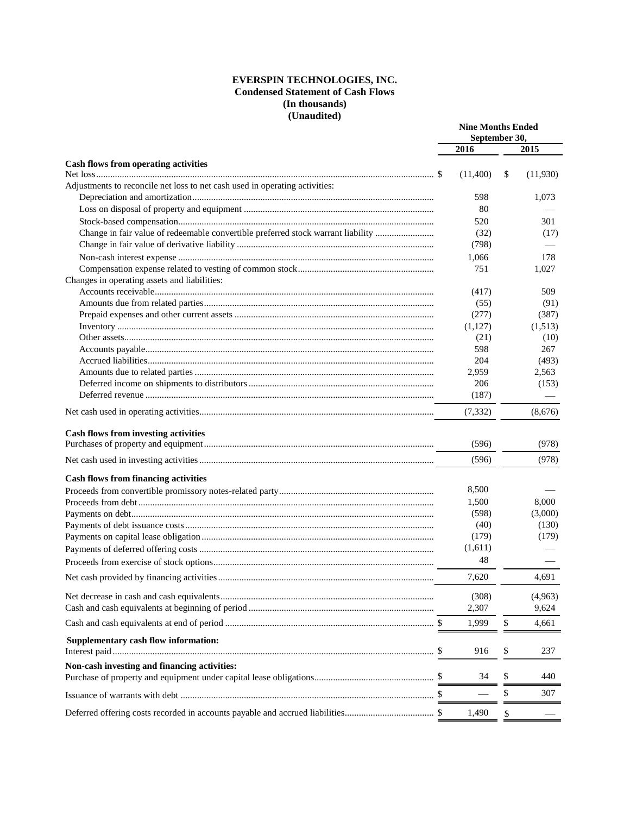#### **EVERSPIN TECHNOLOGIES, INC. Condensed Statement of Cash Flows (In thousands) (Unaudited)**

|                                                                                  | <b>Nine Months Ended</b><br>September 30, |    |          |  |
|----------------------------------------------------------------------------------|-------------------------------------------|----|----------|--|
|                                                                                  | 2016                                      |    | 2015     |  |
|                                                                                  |                                           |    |          |  |
| <b>Cash flows from operating activities</b>                                      | (11,400)                                  | \$ | (11,930) |  |
| Adjustments to reconcile net loss to net cash used in operating activities:      |                                           |    |          |  |
|                                                                                  | 598                                       |    | 1,073    |  |
|                                                                                  | 80                                        |    |          |  |
|                                                                                  | 520                                       |    | 301      |  |
| Change in fair value of redeemable convertible preferred stock warrant liability | (32)                                      |    | (17)     |  |
|                                                                                  | (798)                                     |    |          |  |
|                                                                                  | 1,066                                     |    | 178      |  |
|                                                                                  | 751                                       |    | 1,027    |  |
| Changes in operating assets and liabilities:                                     |                                           |    |          |  |
|                                                                                  | (417)                                     |    | 509      |  |
|                                                                                  | (55)                                      |    | (91)     |  |
|                                                                                  | (277)                                     |    | (387)    |  |
|                                                                                  | (1,127)                                   |    | (1,513)  |  |
|                                                                                  | (21)                                      |    | (10)     |  |
|                                                                                  | 598                                       |    | 267      |  |
|                                                                                  | 204                                       |    | (493)    |  |
|                                                                                  | 2,959                                     |    | 2,563    |  |
|                                                                                  | 206                                       |    | (153)    |  |
|                                                                                  | (187)                                     |    |          |  |
|                                                                                  | (7, 332)                                  |    | (8,676)  |  |
| <b>Cash flows from investing activities</b>                                      |                                           |    |          |  |
|                                                                                  | (596)                                     |    | (978)    |  |
|                                                                                  | (596)                                     |    | (978)    |  |
| <b>Cash flows from financing activities</b>                                      |                                           |    |          |  |
|                                                                                  | 8,500                                     |    |          |  |
|                                                                                  | 1,500                                     |    | 8,000    |  |
|                                                                                  | (598)                                     |    | (3,000)  |  |
|                                                                                  | (40)                                      |    | (130)    |  |
|                                                                                  | (179)                                     |    | (179)    |  |
|                                                                                  | (1,611)                                   |    |          |  |
|                                                                                  | 48                                        |    |          |  |
|                                                                                  | 7,620                                     |    | 4,691    |  |
|                                                                                  | (308)                                     |    | (4,963)  |  |
|                                                                                  | 2,307                                     |    | 9,624    |  |
|                                                                                  | 1,999                                     | \$ | 4,661    |  |
|                                                                                  |                                           |    |          |  |
| Supplementary cash flow information:                                             | 916                                       | \$ | 237      |  |
| Non-cash investing and financing activities:                                     |                                           |    |          |  |
|                                                                                  | 34                                        | \$ | 440      |  |
|                                                                                  |                                           | \$ | 307      |  |
|                                                                                  | 1,490                                     | \$ |          |  |